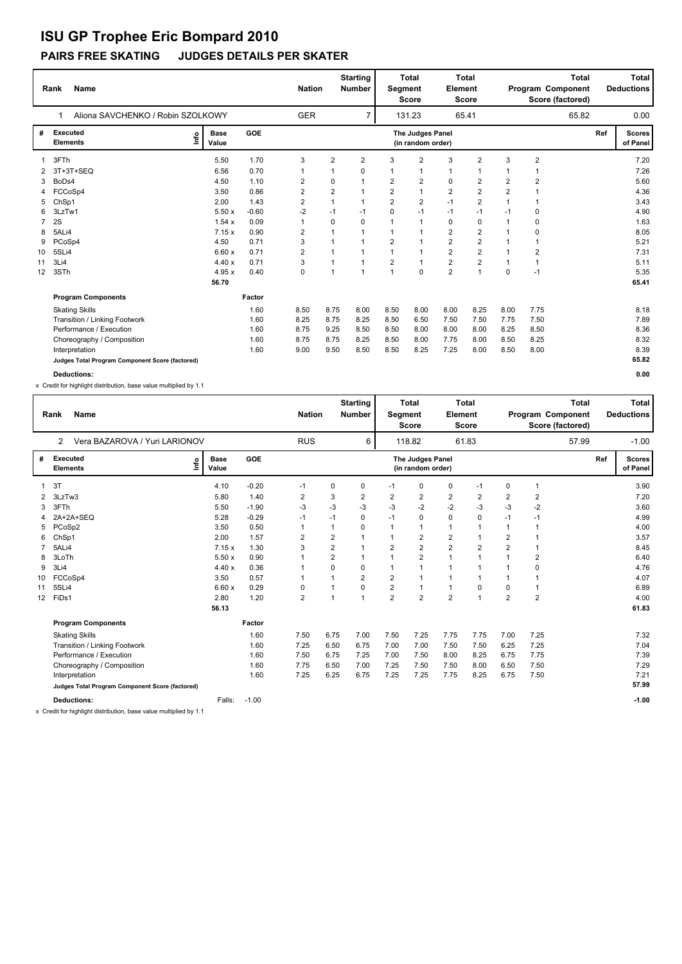#### **PAIRS FREE SKATING JUDGES DETAILS PER SKATER**

|                | <b>Name</b><br>Rank                             | <b>Nation</b>        |         | <b>Starting</b><br><b>Number</b> | Segment        | <b>Total</b><br><b>Total</b><br>Element<br><b>Score</b><br><b>Score</b> |                |                                       | Total<br>Program Component<br>Score (factored) |                |                | Total<br><b>Deductions</b> |     |                           |
|----------------|-------------------------------------------------|----------------------|---------|----------------------------------|----------------|-------------------------------------------------------------------------|----------------|---------------------------------------|------------------------------------------------|----------------|----------------|----------------------------|-----|---------------------------|
|                | Aliona SAVCHENKO / Robin SZOLKOWY<br>1          |                      |         | <b>GER</b>                       |                | $\overline{7}$                                                          |                | 131.23                                |                                                | 65.41          |                | 65.82                      |     | 0.00                      |
| #              | <b>Executed</b><br>١nf٥<br><b>Elements</b>      | <b>Base</b><br>Value | GOE     |                                  |                |                                                                         |                | The Judges Panel<br>(in random order) |                                                |                |                |                            | Ref | <b>Scores</b><br>of Panel |
|                | 3FTh                                            | 5.50                 | 1.70    | 3                                | 2              | $\overline{2}$                                                          | 3              | $\overline{2}$                        | 3                                              | $\overline{2}$ | 3              | $\overline{2}$             |     | 7.20                      |
| 2              | 3T+3T+SEQ                                       | 6.56                 | 0.70    |                                  | 1              | 0                                                                       | 1              | $\mathbf{1}$                          | 1                                              | 1              |                | 1                          |     | 7.26                      |
| 3              | BoDs4                                           | 4.50                 | 1.10    | 2                                | 0              | $\overline{1}$                                                          | $\overline{2}$ | 2                                     | 0                                              | 2              | $\overline{2}$ | 2                          |     | 5.60                      |
| 4              | FCCoSp4                                         | 3.50                 | 0.86    | 2                                | $\overline{2}$ | $\mathbf{1}$                                                            | $\overline{2}$ | $\mathbf{1}$                          | $\overline{2}$                                 | $\overline{2}$ | $\overline{2}$ | 1                          |     | 4.36                      |
| 5              | ChSp1                                           | 2.00                 | 1.43    | 2                                | $\mathbf{1}$   | $\mathbf{1}$                                                            | $\overline{2}$ | $\overline{2}$                        | $-1$                                           | 2              | $\mathbf 1$    | 1                          |     | 3.43                      |
| 6              | 3LzTw1                                          | 5.50x                | $-0.60$ | $-2$                             | $-1$           | -1                                                                      | $\mathbf 0$    | $-1$                                  | $-1$                                           | $-1$           | $-1$           | 0                          |     | 4.90                      |
| $\overline{7}$ | 2S                                              | 1.54x                | 0.09    |                                  | 0              | $\Omega$                                                                | 1              | $\overline{1}$                        | 0                                              | 0              |                | 0                          |     | 1.63                      |
| 8              | 5ALi4                                           | 7.15x                | 0.90    | 2                                | 1              | -1                                                                      | $\mathbf{1}$   | $\overline{1}$                        | $\overline{2}$                                 | 2              |                | 0                          |     | 8.05                      |
| 9              | PCoSp4                                          | 4.50                 | 0.71    | 3                                |                |                                                                         | $\overline{2}$ | $\overline{1}$                        | $\overline{2}$                                 | $\overline{2}$ |                | 1                          |     | 5.21                      |
| 10             | 5SLi4                                           | 6.60x                | 0.71    | 2                                |                | -1                                                                      | $\mathbf{1}$   | $\overline{1}$                        | $\overline{2}$                                 | $\overline{2}$ |                | 2                          |     | 7.31                      |
| 11             | 3Li4                                            | 4.40x                | 0.71    | 3                                | 1              | $\mathbf{1}$                                                            | $\overline{2}$ | $\overline{1}$                        | $\overline{2}$                                 | $\overline{2}$ |                | $\overline{1}$             |     | 5.11                      |
| 12             | 3STh                                            | 4.95x                | 0.40    | $\mathbf 0$                      | 1              | $\mathbf{1}$                                                            | $\overline{1}$ | $\mathbf 0$                           | $\overline{2}$                                 | 1              | $\mathbf 0$    | $-1$                       |     | 5.35                      |
|                |                                                 | 56.70                |         |                                  |                |                                                                         |                |                                       |                                                |                |                |                            |     | 65.41                     |
|                | <b>Program Components</b>                       |                      | Factor  |                                  |                |                                                                         |                |                                       |                                                |                |                |                            |     |                           |
|                | <b>Skating Skills</b>                           |                      | 1.60    | 8.50                             | 8.75           | 8.00                                                                    | 8.50           | 8.00                                  | 8.00                                           | 8.25           | 8.00           | 7.75                       |     | 8.18                      |
|                | Transition / Linking Footwork                   |                      | 1.60    | 8.25                             | 8.75           | 8.25                                                                    | 8.50           | 6.50                                  | 7.50                                           | 7.50           | 7.75           | 7.50                       |     | 7.89                      |
|                | Performance / Execution                         |                      | 1.60    | 8.75                             | 9.25           | 8.50                                                                    | 8.50           | 8.00                                  | 8.00                                           | 8.00           | 8.25           | 8.50                       |     | 8.36                      |
|                | Choreography / Composition                      |                      | 1.60    | 8.75                             | 8.75           | 8.25                                                                    | 8.50           | 8.00                                  | 7.75                                           | 8.00           | 8.50           | 8.25                       |     | 8.32                      |
|                | Interpretation                                  |                      | 1.60    | 9.00                             | 9.50           | 8.50                                                                    | 8.50           | 8.25                                  | 7.25                                           | 8.00           | 8.50           | 8.00                       |     | 8.39                      |
|                | Judges Total Program Component Score (factored) |                      |         |                                  |                |                                                                         |                |                                       |                                                |                |                |                            |     | 65.82                     |
|                | <b>Deductions:</b>                              |                      |         |                                  |                |                                                                         |                |                                       |                                                |                |                |                            |     | 0.00                      |

x Credit for highlight distribution, base value multiplied by 1.1

|                 | <b>Name</b><br>Rank                             |                      |            | <b>Nation</b>  |                | <b>Starting</b><br><b>Number</b> | Segment        | <b>Total</b><br><b>Score</b>          | Element        | <b>Total</b><br><b>Score</b> |                | Program Component<br>Score (factored) | <b>Total</b> | <b>Total</b><br><b>Deductions</b> |
|-----------------|-------------------------------------------------|----------------------|------------|----------------|----------------|----------------------------------|----------------|---------------------------------------|----------------|------------------------------|----------------|---------------------------------------|--------------|-----------------------------------|
|                 | Vera BAZAROVA / Yuri LARIONOV<br>$\overline{2}$ |                      |            | <b>RUS</b>     |                | 6                                |                | 118.82                                |                | 61.83                        |                |                                       | 57.99        | $-1.00$                           |
| #               | <b>Executed</b><br>lnfo<br><b>Elements</b>      | <b>Base</b><br>Value | <b>GOE</b> |                |                |                                  |                | The Judges Panel<br>(in random order) |                |                              |                |                                       | Ref          | <b>Scores</b><br>of Panel         |
|                 | 3T                                              | 4.10                 | $-0.20$    | $-1$           | 0              | 0                                | $-1$           | 0                                     | $\mathbf 0$    | $-1$                         | 0              | 1                                     |              | 3.90                              |
| 2               | 3LzTw3                                          | 5.80                 | 1.40       | 2              | 3              | 2                                | 2              | $\overline{2}$                        | $\overline{2}$ | 2                            | $\overline{2}$ | 2                                     |              | 7.20                              |
| 3               | 3FTh                                            | 5.50                 | $-1.90$    | $-3$           | $-3$           | $-3$                             | $-3$           | $-2$                                  | $-2$           | -3                           | -3             | $-2$                                  |              | 3.60                              |
| 4               | 2A+2A+SEQ                                       | 5.28                 | $-0.29$    | $-1$           | $-1$           | 0                                | $-1$           | 0                                     | 0              | 0                            | $-1$           | $-1$                                  |              | 4.99                              |
| 5               | PCoSp2                                          | 3.50                 | 0.50       | 1              | $\mathbf{1}$   | 0                                | 1              | $\mathbf{1}$                          | 1              | 1                            |                | $\overline{1}$                        |              | 4.00                              |
| 6               | ChSp1                                           | 2.00                 | 1.57       | 2              | $\overline{2}$ | 1                                | $\mathbf 1$    | 2                                     | 2              | 1                            | 2              |                                       |              | 3.57                              |
|                 | 5ALi4                                           | 7.15x                | 1.30       | 3              | $\overline{2}$ |                                  | $\overline{2}$ | $\overline{2}$                        | $\overline{2}$ | 2                            | $\overline{2}$ | 1                                     |              | 8.45                              |
| 8               | 3LoTh                                           | 5.50x                | 0.90       |                | $\overline{2}$ | 1                                | $\mathbf 1$    | $\overline{2}$                        | $\overline{1}$ | и                            |                | 2                                     |              | 6.40                              |
| 9               | 3Li4                                            | 4.40x                | 0.36       |                | $\Omega$       | 0                                | 1              | $\mathbf{1}$                          | $\overline{1}$ |                              |                | 0                                     |              | 4.76                              |
| 10              | FCCoSp4                                         | 3.50                 | 0.57       | 1              | $\mathbf{1}$   | $\overline{2}$                   | $\overline{2}$ | $\mathbf{1}$                          | 1              | 1                            |                | 1                                     |              | 4.07                              |
| 11              | 5SLi4                                           | 6.60x                | 0.29       | 0              | 1              | 0                                | $\overline{2}$ | $\mathbf{1}$                          | $\mathbf{1}$   | 0                            | $\mathbf 0$    | 1                                     |              | 6.89                              |
| 12 <sup>2</sup> | FiDs1                                           | 2.80                 | 1.20       | $\overline{2}$ | $\mathbf{1}$   | 1                                | $\overline{2}$ | $\overline{2}$                        | $\overline{2}$ | 1                            | $\overline{2}$ | $\overline{2}$                        |              | 4.00                              |
|                 |                                                 | 56.13                |            |                |                |                                  |                |                                       |                |                              |                |                                       |              | 61.83                             |
|                 | <b>Program Components</b>                       |                      | Factor     |                |                |                                  |                |                                       |                |                              |                |                                       |              |                                   |
|                 | <b>Skating Skills</b>                           |                      | 1.60       | 7.50           | 6.75           | 7.00                             | 7.50           | 7.25                                  | 7.75           | 7.75                         | 7.00           | 7.25                                  |              | 7.32                              |
|                 | Transition / Linking Footwork                   |                      | 1.60       | 7.25           | 6.50           | 6.75                             | 7.00           | 7.00                                  | 7.50           | 7.50                         | 6.25           | 7.25                                  |              | 7.04                              |
|                 | Performance / Execution                         |                      | 1.60       | 7.50           | 6.75           | 7.25                             | 7.00           | 7.50                                  | 8.00           | 8.25                         | 6.75           | 7.75                                  |              | 7.39                              |
|                 | Choreography / Composition                      |                      | 1.60       | 7.75           | 6.50           | 7.00                             | 7.25           | 7.50                                  | 7.50           | 8.00                         | 6.50           | 7.50                                  |              | 7.29                              |
|                 | Interpretation                                  |                      | 1.60       | 7.25           | 6.25           | 6.75                             | 7.25           | 7.25                                  | 7.75           | 8.25                         | 6.75           | 7.50                                  |              | 7.21                              |
|                 | Judges Total Program Component Score (factored) |                      |            |                |                |                                  |                |                                       |                |                              |                |                                       |              | 57.99                             |
|                 | <b>Deductions:</b>                              | Falls:               | $-1.00$    |                |                |                                  |                |                                       |                |                              |                |                                       |              | $-1.00$                           |

x Credit for highlight distribution, base value multiplied by 1.1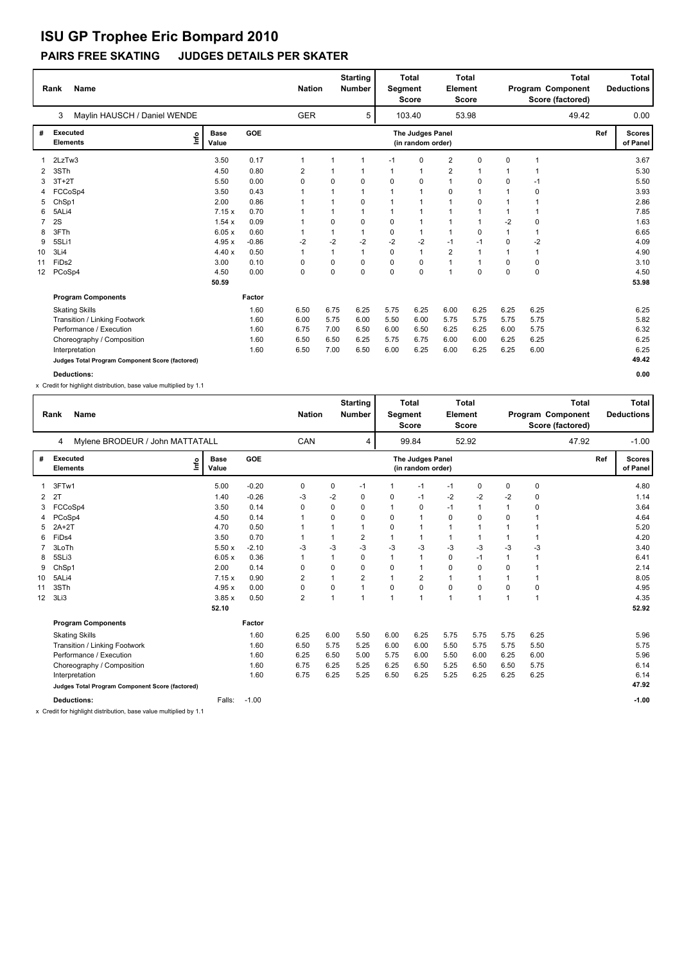#### **PAIRS FREE SKATING JUDGES DETAILS PER SKATER**

|                 | <b>Name</b><br>Rank                             |                      |         | <b>Nation</b> |      | <b>Starting</b><br><b>Number</b> | Segment     | <b>Total</b><br><b>Score</b>          | Element        | <b>Total</b><br><b>Score</b> |              | <b>Total</b><br>Program Component<br>Score (factored) |     | <b>Total</b><br><b>Deductions</b> |
|-----------------|-------------------------------------------------|----------------------|---------|---------------|------|----------------------------------|-------------|---------------------------------------|----------------|------------------------------|--------------|-------------------------------------------------------|-----|-----------------------------------|
|                 | Maylin HAUSCH / Daniel WENDE<br>3               |                      |         | <b>GER</b>    |      | 5                                |             | 103.40                                |                | 53.98                        |              | 49.42                                                 |     | 0.00                              |
| #               | Executed<br>lnfo<br><b>Elements</b>             | <b>Base</b><br>Value | GOE     |               |      |                                  |             | The Judges Panel<br>(in random order) |                |                              |              |                                                       | Ref | <b>Scores</b><br>of Panel         |
|                 | 2LzTw3                                          | 3.50                 | 0.17    | 1             | 1    | $\mathbf{1}$                     | $-1$        | $\Omega$                              | $\overline{2}$ | 0                            | $\Omega$     | $\overline{1}$                                        |     | 3.67                              |
| 2               | 3STh                                            | 4.50                 | 0.80    | 2             |      | 1                                |             | $\overline{1}$                        | 2              |                              |              | 1                                                     |     | 5.30                              |
| 3               | $3T+2T$                                         | 5.50                 | 0.00    | 0             | 0    | 0                                | $\Omega$    | $\mathbf 0$                           | $\mathbf{1}$   | 0                            | 0            | $-1$                                                  |     | 5.50                              |
|                 | FCCoSp4                                         | 3.50                 | 0.43    |               | 1    | $\mathbf{1}$                     | $\mathbf 1$ | $\overline{1}$                        | $\mathbf 0$    | 1                            | 1            | 0                                                     |     | 3.93                              |
|                 | ChSp1                                           | 2.00                 | 0.86    |               | 1    | $\Omega$                         |             | -1                                    | $\mathbf{1}$   | 0                            |              | $\mathbf 1$                                           |     | 2.86                              |
| 6               | 5ALi4                                           | 7.15x                | 0.70    |               | 1    | $\mathbf{1}$                     |             | $\mathbf 1$                           | $\mathbf{1}$   | 1                            | 1            | 1                                                     |     | 7.85                              |
| $\overline{7}$  | 2S                                              | 1.54x                | 0.09    |               | 0    | 0                                | $\Omega$    | $\overline{1}$                        | $\mathbf{1}$   | 1                            | $-2$         | 0                                                     |     | 1.63                              |
| 8               | 3FTh                                            | 6.05x                | 0.60    |               | 1    | $\mathbf{1}$                     | $\Omega$    | $\overline{1}$                        | $\mathbf{1}$   | 0                            | $\mathbf{1}$ | 1                                                     |     | 6.65                              |
| 9               | 5SLi1                                           | 4.95x                | $-0.86$ | $-2$          | $-2$ | $-2$                             | $-2$        | $-2$                                  | $-1$           | $-1$                         | $\Omega$     | $-2$                                                  |     | 4.09                              |
| 10              | 3Li4                                            | 4.40x                | 0.50    | 1             | 1    | $\mathbf{1}$                     | $\Omega$    | $\mathbf{1}$                          | $\overline{2}$ | 1                            | 1            | 1                                                     |     | 4.90                              |
| 11              | FiD <sub>s2</sub>                               | 3.00                 | 0.10    | 0             | 0    | 0                                | 0           | $\mathbf 0$                           | $\mathbf{1}$   | 1                            | 0            | 0                                                     |     | 3.10                              |
| 12 <sup>°</sup> | PCoSp4                                          | 4.50                 | 0.00    | 0             | 0    | $\Omega$                         | $\Omega$    | $\mathbf 0$                           | $\overline{1}$ | 0                            | $\Omega$     | 0                                                     |     | 4.50                              |
|                 |                                                 | 50.59                |         |               |      |                                  |             |                                       |                |                              |              |                                                       |     | 53.98                             |
|                 | <b>Program Components</b>                       |                      | Factor  |               |      |                                  |             |                                       |                |                              |              |                                                       |     |                                   |
|                 | <b>Skating Skills</b>                           |                      | 1.60    | 6.50          | 6.75 | 6.25                             | 5.75        | 6.25                                  | 6.00           | 6.25                         | 6.25         | 6.25                                                  |     | 6.25                              |
|                 | Transition / Linking Footwork                   |                      | 1.60    | 6.00          | 5.75 | 6.00                             | 5.50        | 6.00                                  | 5.75           | 5.75                         | 5.75         | 5.75                                                  |     | 5.82                              |
|                 | Performance / Execution                         |                      | 1.60    | 6.75          | 7.00 | 6.50                             | 6.00        | 6.50                                  | 6.25           | 6.25                         | 6.00         | 5.75                                                  |     | 6.32                              |
|                 | Choreography / Composition                      |                      | 1.60    | 6.50          | 6.50 | 6.25                             | 5.75        | 6.75                                  | 6.00           | 6.00                         | 6.25         | 6.25                                                  |     | 6.25                              |
|                 | Interpretation                                  |                      | 1.60    | 6.50          | 7.00 | 6.50                             | 6.00        | 6.25                                  | 6.00           | 6.25                         | 6.25         | 6.00                                                  |     | 6.25                              |
|                 | Judges Total Program Component Score (factored) |                      |         |               |      |                                  |             |                                       |                |                              |              |                                                       |     | 49.42                             |
|                 | <b>Deductions:</b>                              |                      |         |               |      |                                  |             |                                       |                |                              |              |                                                       |     | 0.00                              |

x Credit for highlight distribution, base value multiplied by 1.1

|    | <b>Name</b><br>Rank                             |                      |            |                |          | <b>Starting</b><br><b>Number</b> | <b>Total</b><br>Element<br>Segment<br><b>Score</b> |                                       |              | <b>Total</b><br><b>Score</b> |              |                | <b>Total</b><br>Program Component<br>Score (factored) |     | <b>Total</b><br><b>Deductions</b> |
|----|-------------------------------------------------|----------------------|------------|----------------|----------|----------------------------------|----------------------------------------------------|---------------------------------------|--------------|------------------------------|--------------|----------------|-------------------------------------------------------|-----|-----------------------------------|
|    | Mylene BRODEUR / John MATTATALL<br>4            |                      |            | CAN            |          | 4                                |                                                    | 99.84                                 |              | 52.92                        |              |                | 47.92                                                 |     | $-1.00$                           |
| #  | <b>Executed</b><br>lnfo<br><b>Elements</b>      | <b>Base</b><br>Value | <b>GOE</b> |                |          |                                  |                                                    | The Judges Panel<br>(in random order) |              |                              |              |                |                                                       | Ref | <b>Scores</b><br>of Panel         |
|    | 3FTw1                                           | 5.00                 | $-0.20$    | 0              | 0        | $-1$                             |                                                    | $-1$                                  | $-1$         | 0                            | 0            | $\pmb{0}$      |                                                       |     | 4.80                              |
| 2  | 2T                                              | 1.40                 | $-0.26$    | -3             | -2       | 0                                | 0                                                  | $-1$                                  | $-2$         | $-2$                         | $-2$         | 0              |                                                       |     | 1.14                              |
| 3  | FCCoSp4                                         | 3.50                 | 0.14       | 0              | 0        | 0                                | 1                                                  | 0                                     | $-1$         | $\mathbf{1}$                 | 1            | $\mathbf 0$    |                                                       |     | 3.64                              |
| 4  | PCoSp4                                          | 4.50                 | 0.14       | $\mathbf 1$    | 0        | 0                                | 0                                                  | $\mathbf{1}$                          | 0            | 0                            | $\Omega$     |                |                                                       |     | 4.64                              |
| 5  | $2A+2T$                                         | 4.70                 | 0.50       |                |          |                                  | 0                                                  | $\mathbf{1}$                          | $\mathbf{1}$ |                              | 1            |                |                                                       |     | 5.20                              |
| 6  | FiD <sub>s4</sub>                               | 3.50                 | 0.70       |                |          | 2                                |                                                    | 1                                     | $\mathbf{1}$ |                              | 1            |                |                                                       |     | 4.20                              |
|    | 3LoTh                                           | 5.50x                | $-2.10$    | $-3$           | $-3$     | $-3$                             | $-3$                                               | -3                                    | $-3$         | $-3$                         | $-3$         | $-3$           |                                                       |     | 3.40                              |
| 8  | 5SLi3                                           | 6.05x                | 0.36       | $\overline{1}$ |          | $\Omega$                         | 1                                                  | 1                                     | $\mathbf 0$  | $-1$                         | $\mathbf{1}$ |                |                                                       |     | 6.41                              |
| 9  | ChSp1                                           | 2.00                 | 0.14       | $\Omega$       | $\Omega$ | 0                                | 0                                                  | 1                                     | $\mathbf 0$  | $\mathbf 0$                  | $\Omega$     |                |                                                       |     | 2.14                              |
| 10 | 5ALi4                                           | 7.15x                | 0.90       | 2              |          | 2                                | 1                                                  | 2                                     | $\mathbf{1}$ | $\overline{1}$               | $\mathbf{1}$ | $\overline{1}$ |                                                       |     | 8.05                              |
| 11 | 3STh                                            | 4.95x                | 0.00       | 0              | 0        | 1                                | $\Omega$                                           | $\mathbf 0$                           | $\mathbf 0$  | $\mathbf 0$                  | $\Omega$     | $\mathbf 0$    |                                                       |     | 4.95                              |
| 12 | 3Li3                                            | 3.85x                | 0.50       | $\overline{2}$ | 1        | 1                                | $\mathbf{1}$                                       | $\mathbf{1}$                          | $\mathbf{1}$ | $\overline{1}$               | $\mathbf{1}$ | $\mathbf{1}$   |                                                       |     | 4.35                              |
|    |                                                 | 52.10                |            |                |          |                                  |                                                    |                                       |              |                              |              |                |                                                       |     | 52.92                             |
|    | <b>Program Components</b>                       |                      | Factor     |                |          |                                  |                                                    |                                       |              |                              |              |                |                                                       |     |                                   |
|    | <b>Skating Skills</b>                           |                      | 1.60       | 6.25           | 6.00     | 5.50                             | 6.00                                               | 6.25                                  | 5.75         | 5.75                         | 5.75         | 6.25           |                                                       |     | 5.96                              |
|    | Transition / Linking Footwork                   |                      | 1.60       | 6.50           | 5.75     | 5.25                             | 6.00                                               | 6.00                                  | 5.50         | 5.75                         | 5.75         | 5.50           |                                                       |     | 5.75                              |
|    | Performance / Execution                         |                      | 1.60       | 6.25           | 6.50     | 5.00                             | 5.75                                               | 6.00                                  | 5.50         | 6.00                         | 6.25         | 6.00           |                                                       |     | 5.96                              |
|    | Choreography / Composition                      |                      | 1.60       | 6.75           | 6.25     | 5.25                             | 6.25                                               | 6.50                                  | 5.25         | 6.50                         | 6.50         | 5.75           |                                                       |     | 6.14                              |
|    | Interpretation                                  |                      | 1.60       | 6.75           | 6.25     | 5.25                             | 6.50                                               | 6.25                                  | 5.25         | 6.25                         | 6.25         | 6.25           |                                                       |     | 6.14                              |
|    | Judges Total Program Component Score (factored) |                      |            |                |          |                                  |                                                    |                                       |              |                              |              |                |                                                       |     | 47.92                             |
|    | <b>Deductions:</b>                              | Falls:               | $-1.00$    |                |          |                                  |                                                    |                                       |              |                              |              |                |                                                       |     | $-1.00$                           |

x Credit for highlight distribution, base value multiplied by 1.1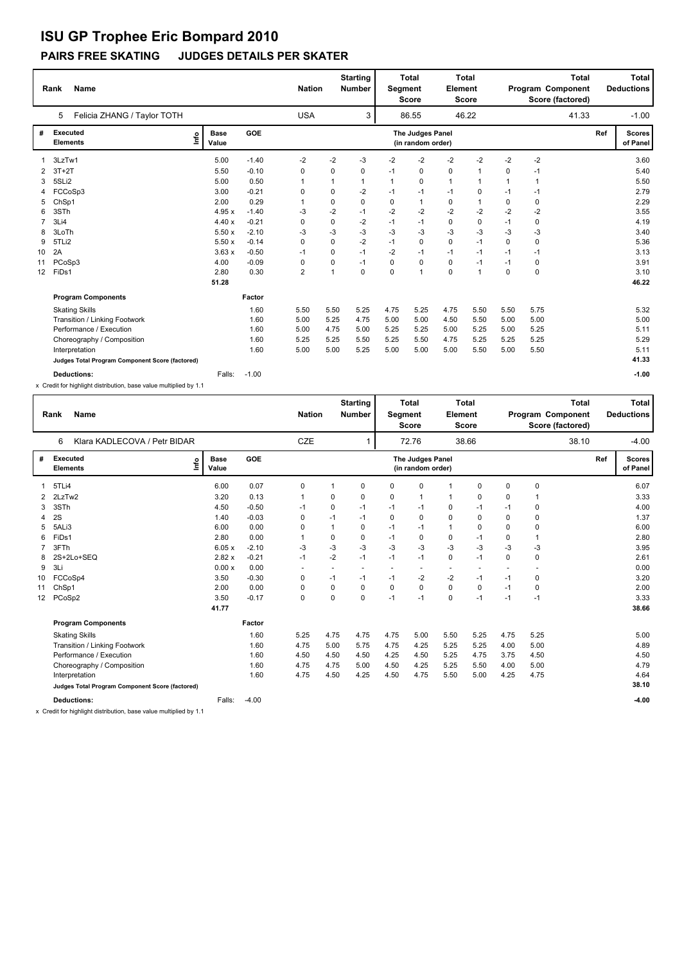#### **PAIRS FREE SKATING JUDGES DETAILS PER SKATER**

|                   | <b>Name</b><br>Rank                             |                              |         |                |      |             |          |                                       | <b>Starting</b><br><b>Nation</b><br><b>Number</b> |       |              | <b>Total</b><br>Segment<br><b>Score</b> | <b>Element</b> | <b>Total</b><br><b>Score</b> | <b>Total</b><br>Program Component<br>Score (factored) |  |  | <b>Total</b><br><b>Deductions</b> |
|-------------------|-------------------------------------------------|------------------------------|---------|----------------|------|-------------|----------|---------------------------------------|---------------------------------------------------|-------|--------------|-----------------------------------------|----------------|------------------------------|-------------------------------------------------------|--|--|-----------------------------------|
|                   | Felicia ZHANG / Taylor TOTH<br>5                |                              |         | <b>USA</b>     |      | 3           |          | 86.55                                 |                                                   | 46.22 |              |                                         | 41.33          | $-1.00$                      |                                                       |  |  |                                   |
| #                 | Executed<br><b>Elements</b>                     | <b>Base</b><br>lnfo<br>Value | GOE     |                |      |             |          | The Judges Panel<br>(in random order) |                                                   |       |              |                                         | Ref            | <b>Scores</b><br>of Panel    |                                                       |  |  |                                   |
|                   | 3LzTw1                                          | 5.00                         | $-1.40$ | $-2$           | $-2$ | $-3$        | $-2$     | $-2$                                  | $-2$                                              | $-2$  | $-2$         | $-2$                                    |                | 3.60                         |                                                       |  |  |                                   |
| 2                 | $3T+2T$                                         | 5.50                         | $-0.10$ | 0              | 0    | 0           | $-1$     | 0                                     | 0                                                 | 1     | $\Omega$     | $-1$                                    |                | 5.40                         |                                                       |  |  |                                   |
| 3                 | 5SLi2                                           | 5.00                         | 0.50    | -1             | 1    | 1           | 1        | 0                                     | $\mathbf{1}$                                      | 1     | $\mathbf{1}$ | 1                                       |                | 5.50                         |                                                       |  |  |                                   |
|                   | FCCoSp3                                         | 3.00                         | $-0.21$ | 0              | 0    | $-2$        | $-1$     | $-1$                                  | $-1$                                              | 0     | $-1$         | $-1$                                    |                | 2.79                         |                                                       |  |  |                                   |
|                   | ChSp1                                           | 2.00                         | 0.29    |                | 0    | $\mathbf 0$ | 0        | $\mathbf{1}$                          | 0                                                 | 1     | 0            | 0                                       |                | 2.29                         |                                                       |  |  |                                   |
| 6                 | 3STh                                            | 4.95x                        | $-1.40$ | -3             | $-2$ | $-1$        | $-2$     | $-2$                                  | $-2$                                              | $-2$  | $-2$         | $-2$                                    |                | 3.55                         |                                                       |  |  |                                   |
|                   | 3Li4                                            | 4.40x                        | $-0.21$ | 0              | 0    | $-2$        | $-1$     | $-1$                                  | $\mathbf 0$                                       | 0     | $-1$         | 0                                       |                | 4.19                         |                                                       |  |  |                                   |
| 8                 | 3LoTh                                           | 5.50x                        | $-2.10$ | -3             | $-3$ | $-3$        | $-3$     | $-3$                                  | $-3$                                              | $-3$  | $-3$         | $-3$                                    |                | 3.40                         |                                                       |  |  |                                   |
| 9                 | 5TLi2                                           | 5.50x                        | $-0.14$ | 0              | 0    | $-2$        | $-1$     | 0                                     | $\mathbf 0$                                       | $-1$  | $\Omega$     | 0                                       |                | 5.36                         |                                                       |  |  |                                   |
| 10                | 2A                                              | 3.63x                        | $-0.50$ | $-1$           | 0    | $-1$        | $-2$     | $-1$                                  | $-1$                                              | $-1$  | $-1$         | $-1$                                    |                | 3.13                         |                                                       |  |  |                                   |
| 11                | PCoSp3                                          | 4.00                         | $-0.09$ | 0              | 0    | $-1$        | $\Omega$ | $\mathbf 0$                           | $\mathbf 0$                                       | $-1$  | $-1$         | 0                                       |                | 3.91                         |                                                       |  |  |                                   |
| $12 \overline{ }$ | FiDs1                                           | 2.80                         | 0.30    | $\overline{2}$ | 1    | $\mathbf 0$ | $\Omega$ | $\overline{1}$                        | $\mathbf 0$                                       | 1     | $\mathbf 0$  | $\mathbf 0$                             |                | 3.10                         |                                                       |  |  |                                   |
|                   |                                                 | 51.28                        |         |                |      |             |          |                                       |                                                   |       |              |                                         |                | 46.22                        |                                                       |  |  |                                   |
|                   | <b>Program Components</b>                       |                              | Factor  |                |      |             |          |                                       |                                                   |       |              |                                         |                |                              |                                                       |  |  |                                   |
|                   | <b>Skating Skills</b>                           |                              | 1.60    | 5.50           | 5.50 | 5.25        | 4.75     | 5.25                                  | 4.75                                              | 5.50  | 5.50         | 5.75                                    |                | 5.32                         |                                                       |  |  |                                   |
|                   | Transition / Linking Footwork                   |                              | 1.60    | 5.00           | 5.25 | 4.75        | 5.00     | 5.00                                  | 4.50                                              | 5.50  | 5.00         | 5.00                                    |                | 5.00                         |                                                       |  |  |                                   |
|                   | Performance / Execution                         |                              | 1.60    | 5.00           | 4.75 | 5.00        | 5.25     | 5.25                                  | 5.00                                              | 5.25  | 5.00         | 5.25                                    |                | 5.11                         |                                                       |  |  |                                   |
|                   | Choreography / Composition                      |                              | 1.60    | 5.25           | 5.25 | 5.50        | 5.25     | 5.50                                  | 4.75                                              | 5.25  | 5.25         | 5.25                                    |                | 5.29                         |                                                       |  |  |                                   |
|                   | Interpretation                                  |                              | 1.60    | 5.00           | 5.00 | 5.25        | 5.00     | 5.00                                  | 5.00                                              | 5.50  | 5.00         | 5.50                                    |                | 5.11                         |                                                       |  |  |                                   |
|                   | Judges Total Program Component Score (factored) |                              |         |                |      |             |          |                                       |                                                   |       |              |                                         |                | 41.33                        |                                                       |  |  |                                   |
|                   | <b>Deductions:</b>                              | Falls:                       | $-1.00$ |                |      |             |          |                                       |                                                   |       |              |                                         |                | $-1.00$                      |                                                       |  |  |                                   |

x Credit for highlight distribution, base value multiplied by 1.1

|    | Rank                        | <b>Name</b>                                     |                      |            | <b>Nation</b>  |      | <b>Starting</b><br><b>Number</b> | Segment  | <b>Total</b><br><b>Score</b>          | Element      | <b>Total</b><br><b>Score</b> |          | Program Component<br>Score (factored) | <b>Total</b> |     | Total<br><b>Deductions</b> |
|----|-----------------------------|-------------------------------------------------|----------------------|------------|----------------|------|----------------------------------|----------|---------------------------------------|--------------|------------------------------|----------|---------------------------------------|--------------|-----|----------------------------|
|    | 6                           | Klara KADLECOVA / Petr BIDAR                    |                      |            | CZE            |      | 1                                |          | 72.76                                 |              | 38.66                        |          |                                       | 38.10        |     | $-4.00$                    |
| #  | Executed<br><b>Elements</b> | lnfo                                            | <b>Base</b><br>Value | <b>GOE</b> |                |      |                                  |          | The Judges Panel<br>(in random order) |              |                              |          |                                       |              | Ref | <b>Scores</b><br>of Panel  |
|    | 5TLi4                       |                                                 | 6.00                 | 0.07       | 0              |      | 0                                | 0        | 0                                     | $\mathbf{1}$ | 0                            | 0        | 0                                     |              |     | 6.07                       |
| 2  | 2LzTw2                      |                                                 | 3.20                 | 0.13       | $\overline{1}$ | 0    | $\Omega$                         | 0        | 1                                     | $\mathbf{1}$ | $\mathbf 0$                  | $\Omega$ |                                       |              |     | 3.33                       |
| 3  | 3STh                        |                                                 | 4.50                 | $-0.50$    | $-1$           | 0    | $-1$                             | $-1$     | $-1$                                  | 0            | $-1$                         | $-1$     | 0                                     |              |     | 4.00                       |
| 4  | 2S                          |                                                 | 1.40                 | $-0.03$    | $\mathbf 0$    | $-1$ | $-1$                             | 0        | 0                                     | $\mathbf 0$  | 0                            | $\Omega$ | $\mathbf 0$                           |              |     | 1.37                       |
| 5  | 5ALi3                       |                                                 | 6.00                 | 0.00       | 0              |      | 0                                | $-1$     | $-1$                                  | $\mathbf{1}$ | $\mathbf 0$                  | 0        | $\mathbf 0$                           |              |     | 6.00                       |
| 6  | FiDs1                       |                                                 | 2.80                 | 0.00       | 1              | 0    | 0                                | $-1$     | 0                                     | 0            | -1                           | 0        |                                       |              |     | 2.80                       |
|    | 3FTh                        |                                                 | 6.05x                | $-2.10$    | -3             | -3   | $-3$                             | $-3$     | -3                                    | $-3$         | -3                           | -3       | -3                                    |              |     | 3.95                       |
| 8  |                             | 2S+2Lo+SEQ                                      | 2.82x                | $-0.21$    | $-1$           | $-2$ | $-1$                             | $-1$     | $-1$                                  | 0            | $-1$                         | $\Omega$ | 0                                     |              |     | 2.61                       |
| 9  | 3Li                         |                                                 | 0.00x                | 0.00       | $\sim$         |      | $\overline{a}$                   |          | $\sim$                                | $\sim$       |                              |          |                                       |              |     | 0.00                       |
| 10 | FCCoSp4                     |                                                 | 3.50                 | $-0.30$    | 0              | $-1$ | $-1$                             | $-1$     | $-2$                                  | -2           | $-1$                         | $-1$     | 0                                     |              |     | 3.20                       |
| 11 | ChSp1                       |                                                 | 2.00                 | 0.00       | 0              | 0    | $\Omega$                         | $\Omega$ | $\mathbf 0$                           | 0            | 0                            | $-1$     | 0                                     |              |     | 2.00                       |
| 12 | PCoSp2                      |                                                 | 3.50                 | $-0.17$    | 0              | 0    | $\Omega$                         | $-1$     | $-1$                                  | $\mathbf 0$  | $-1$                         | $-1$     | $-1$                                  |              |     | 3.33                       |
|    |                             |                                                 | 41.77                |            |                |      |                                  |          |                                       |              |                              |          |                                       |              |     | 38.66                      |
|    |                             | <b>Program Components</b>                       |                      | Factor     |                |      |                                  |          |                                       |              |                              |          |                                       |              |     |                            |
|    |                             | <b>Skating Skills</b>                           |                      | 1.60       | 5.25           | 4.75 | 4.75                             | 4.75     | 5.00                                  | 5.50         | 5.25                         | 4.75     | 5.25                                  |              |     | 5.00                       |
|    |                             | Transition / Linking Footwork                   |                      | 1.60       | 4.75           | 5.00 | 5.75                             | 4.75     | 4.25                                  | 5.25         | 5.25                         | 4.00     | 5.00                                  |              |     | 4.89                       |
|    |                             | Performance / Execution                         |                      | 1.60       | 4.50           | 4.50 | 4.50                             | 4.25     | 4.50                                  | 5.25         | 4.75                         | 3.75     | 4.50                                  |              |     | 4.50                       |
|    |                             | Choreography / Composition                      |                      | 1.60       | 4.75           | 4.75 | 5.00                             | 4.50     | 4.25                                  | 5.25         | 5.50                         | 4.00     | 5.00                                  |              |     | 4.79                       |
|    |                             | Interpretation                                  |                      | 1.60       | 4.75           | 4.50 | 4.25                             | 4.50     | 4.75                                  | 5.50         | 5.00                         | 4.25     | 4.75                                  |              |     | 4.64                       |
|    |                             | Judges Total Program Component Score (factored) |                      |            |                |      |                                  |          |                                       |              |                              |          |                                       |              |     | 38.10                      |
|    |                             | <b>Deductions:</b>                              | Falls:               | $-4.00$    |                |      |                                  |          |                                       |              |                              |          |                                       |              |     | $-4.00$                    |

x Credit for highlight distribution, base value multiplied by 1.1